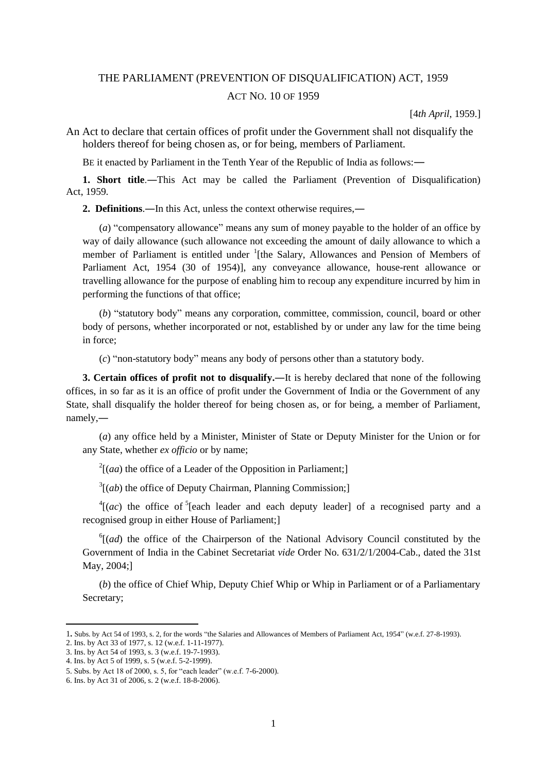# THE PARLIAMENT (PREVENTION OF DISQUALIFICATION) ACT, 1959 ACT NO. 10 OF 1959

[4*th April*, 1959.]

An Act to declare that certain offices of profit under the Government shall not disqualify the holders thereof for being chosen as, or for being, members of Parliament.

BE it enacted by Parliament in the Tenth Year of the Republic of India as follows:―

**1. Short title**.―This Act may be called the Parliament (Prevention of Disqualification) Act, 1959.

**2. Definitions**.―In this Act, unless the context otherwise requires,―

(*a*) "compensatory allowance" means any sum of money payable to the holder of an office by way of daily allowance (such allowance not exceeding the amount of daily allowance to which a member of Parliament is entitled under <sup>1</sup>[the Salary, Allowances and Pension of Members of Parliament Act, 1954 (30 of 1954)], any conveyance allowance, house-rent allowance or travelling allowance for the purpose of enabling him to recoup any expenditure incurred by him in performing the functions of that office;

(*b*) "statutory body" means any corporation, committee, commission, council, board or other body of persons, whether incorporated or not, established by or under any law for the time being in force;

(*c*) "non-statutory body" means any body of persons other than a statutory body.

**3. Certain offices of profit not to disqualify.―**It is hereby declared that none of the following offices, in so far as it is an office of profit under the Government of India or the Government of any State, shall disqualify the holder thereof for being chosen as, or for being, a member of Parliament, namely,―

(*a*) any office held by a Minister, Minister of State or Deputy Minister for the Union or for any State, whether *ex officio* or by name;

 $2[(aa)$  the office of a Leader of the Opposition in Parliament;]

 $3[(ab)$  the office of Deputy Chairman, Planning Commission;]

 $^{4}$ [(*ac*) the office of <sup>5</sup>[each leader and each deputy leader] of a recognised party and a recognised group in either House of Parliament;]

<sup>6</sup>[(*ad*) the office of the Chairperson of the National Advisory Council constituted by the Government of India in the Cabinet Secretariat *vide* Order No. 631/2/1/2004-Cab., dated the 31st May, 2004;]

(*b*) the office of Chief Whip, Deputy Chief Whip or Whip in Parliament or of a Parliamentary Secretary;

<sup>1</sup>**.** Subs. by Act 54 of 1993, s. 2, for the words "the Salaries and Allowances of Members of Parliament Act, 1954" (w.e.f. 27-8-1993).

<sup>2.</sup> Ins. by Act 33 of 1977, s. 12 (w.e.f. 1-11-1977).

<sup>3.</sup> Ins. by Act 54 of 1993, s. 3 (w.e.f. 19-7-1993).

<sup>4.</sup> Ins. by Act 5 of 1999, s. 5 (w.e.f. 5-2-1999).

<sup>5.</sup> Subs. by Act 18 of 2000, s. 5, for "each leader" (w.e.f. 7-6-2000).

<sup>6.</sup> Ins. by Act 31 of 2006, s. 2 (w.e.f. 18-8-2006).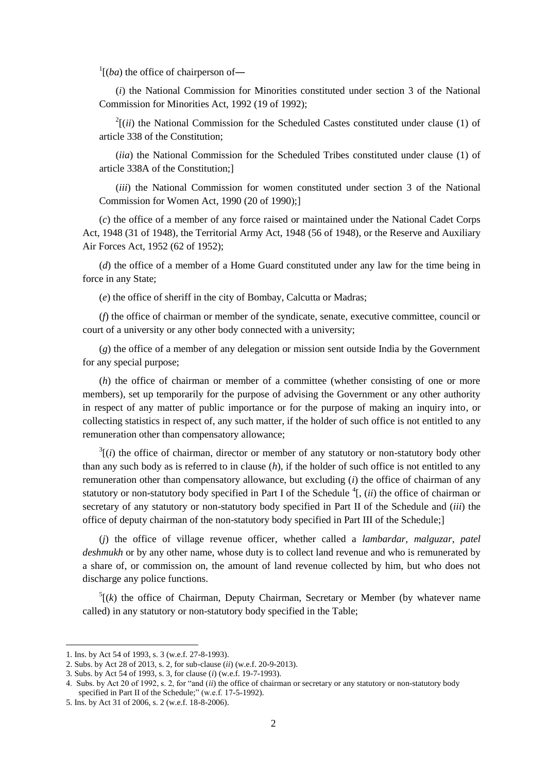$\int$ <sup>1</sup>[(*ba*) the office of chairperson of—

(*i*) the National Commission for Minorities constituted under section 3 of the National Commission for Minorities Act, 1992 (19 of 1992);

 $2[(ii)$  the National Commission for the Scheduled Castes constituted under clause (1) of article 338 of the Constitution;

(*iia*) the National Commission for the Scheduled Tribes constituted under clause (1) of article 338A of the Constitution;]

(*iii*) the National Commission for women constituted under section 3 of the National Commission for Women Act, 1990 (20 of 1990);]

(*c*) the office of a member of any force raised or maintained under the National Cadet Corps Act, 1948 (31 of 1948), the Territorial Army Act, 1948 (56 of 1948), or the Reserve and Auxiliary Air Forces Act, 1952 (62 of 1952);

(*d*) the office of a member of a Home Guard constituted under any law for the time being in force in any State;

(*e*) the office of sheriff in the city of Bombay, Calcutta or Madras;

(*f*) the office of chairman or member of the syndicate, senate, executive committee, council or court of a university or any other body connected with a university;

(*g*) the office of a member of any delegation or mission sent outside India by the Government for any special purpose;

(*h*) the office of chairman or member of a committee (whether consisting of one or more members), set up temporarily for the purpose of advising the Government or any other authority in respect of any matter of public importance or for the purpose of making an inquiry into, or collecting statistics in respect of, any such matter, if the holder of such office is not entitled to any remuneration other than compensatory allowance;

 $3$ [(*i*) the office of chairman, director or member of any statutory or non-statutory body other than any such body as is referred to in clause (*h*), if the holder of such office is not entitled to any remuneration other than compensatory allowance, but excluding (*i*) the office of chairman of any statutory or non-statutory body specified in Part I of the Schedule  ${}^4$ [, (*ii*) the office of chairman or secretary of any statutory or non-statutory body specified in Part II of the Schedule and (*iii*) the office of deputy chairman of the non-statutory body specified in Part III of the Schedule;]

(*j*) the office of village revenue officer, whether called a *lambardar*, *malguzar*, *patel deshmukh* or by any other name, whose duty is to collect land revenue and who is remunerated by a share of, or commission on, the amount of land revenue collected by him, but who does not discharge any police functions.

 $<sup>5</sup>$ [(k) the office of Chairman, Deputy Chairman, Secretary or Member (by whatever name</sup> called) in any statutory or non-statutory body specified in the Table;

<sup>1.</sup> Ins. by Act 54 of 1993, s. 3 (w.e.f. 27-8-1993).

<sup>2.</sup> Subs. by Act 28 of 2013, s. 2, for sub-clause (*ii*) (w.e.f. 20-9-2013).

<sup>3.</sup> Subs. by Act 54 of 1993, s. 3, for clause (*i*) (w.e.f. 19-7-1993).

<sup>4.</sup> Subs. by Act 20 of 1992, s. 2, for "and (*ii*) the office of chairman or secretary or any statutory or non-statutory body specified in Part II of the Schedule;" (w.e.f. 17-5-1992).

<sup>5.</sup> Ins. by Act 31 of 2006, s. 2 (w.e.f. 18-8-2006).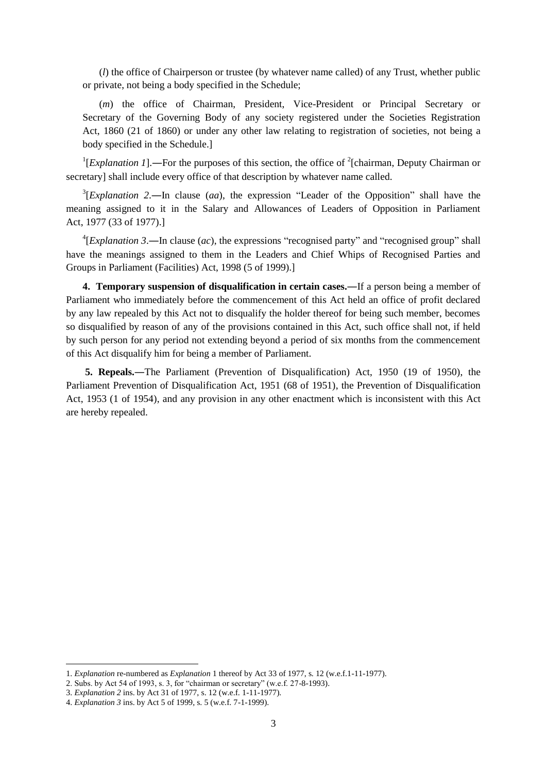(*l*) the office of Chairperson or trustee (by whatever name called) of any Trust, whether public or private, not being a body specified in the Schedule;

(*m*) the office of Chairman, President, Vice-President or Principal Secretary or Secretary of the Governing Body of any society registered under the Societies Registration Act, 1860 (21 of 1860) or under any other law relating to registration of societies, not being a body specified in the Schedule.]

<sup>1</sup>[*Explanation 1*].—For the purposes of this section, the office of <sup>2</sup>[chairman, Deputy Chairman or secretary] shall include every office of that description by whatever name called.

3 [*Explanation 2*.―In clause (*aa*), the expression "Leader of the Opposition" shall have the meaning assigned to it in the Salary and Allowances of Leaders of Opposition in Parliament Act, 1977 (33 of 1977).]

 ${}^{4}$ [*Explanation 3*.—In clause (*ac*), the expressions "recognised party" and "recognised group" shall have the meanings assigned to them in the Leaders and Chief Whips of Recognised Parties and Groups in Parliament (Facilities) Act, 1998 (5 of 1999).]

**4. Temporary suspension of disqualification in certain cases.—If a person being a member of** Parliament who immediately before the commencement of this Act held an office of profit declared by any law repealed by this Act not to disqualify the holder thereof for being such member, becomes so disqualified by reason of any of the provisions contained in this Act, such office shall not, if held by such person for any period not extending beyond a period of six months from the commencement of this Act disqualify him for being a member of Parliament.

**5. Repeals.**―The Parliament (Prevention of Disqualification) Act, 1950 (19 of 1950), the Parliament Prevention of Disqualification Act, 1951 (68 of 1951), the Prevention of Disqualification Act, 1953 (1 of 1954), and any provision in any other enactment which is inconsistent with this Act are hereby repealed.

<sup>1.</sup> *Explanation* re-numbered as *Explanation* 1 thereof by Act 33 of 1977, s. 12 (w.e.f.1-11-1977).

<sup>2.</sup> Subs. by Act 54 of 1993, s. 3, for "chairman or secretary" (w.e.f. 27-8-1993).

<sup>3.</sup> *Explanation 2* ins. by Act 31 of 1977, s. 12 (w.e.f. 1-11-1977).

<sup>4.</sup> *Explanation 3* ins. by Act 5 of 1999, s. 5 (w.e.f. 7-1-1999).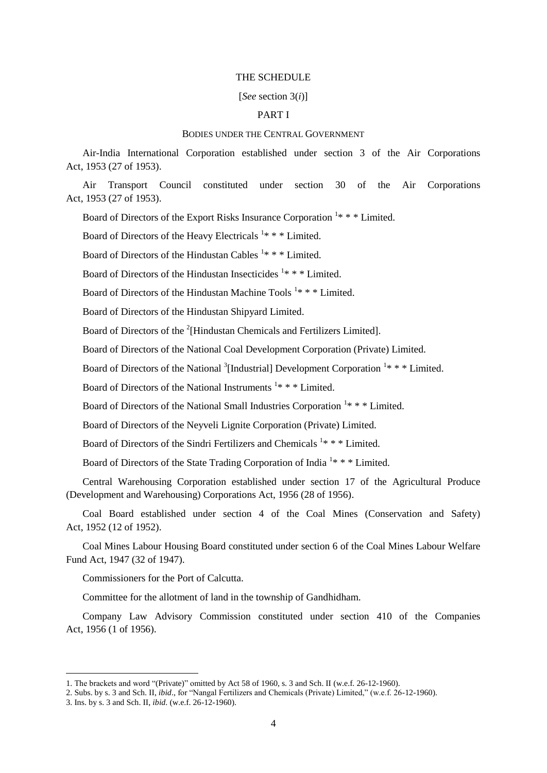#### THE SCHEDULE

#### [*See* section 3(*i*)]

## PART I

### BODIES UNDER THE CENTRAL GOVERNMENT

Air-India International Corporation established under section 3 of the Air Corporations Act, 1953 (27 of 1953).

Air Transport Council constituted under section 30 of the Air Corporations Act, 1953 (27 of 1953).

Board of Directors of the Export Risks Insurance Corporation<sup>1</sup>\*\*\* Limited.

Board of Directors of the Heavy Electricals  $1***$  Limited.

Board of Directors of the Hindustan Cables  $1***$  Limited.

Board of Directors of the Hindustan Insecticides  $1***$  Limited.

Board of Directors of the Hindustan Machine Tools<sup>1</sup>\* \* \* Limited.

Board of Directors of the Hindustan Shipyard Limited.

Board of Directors of the <sup>2</sup>[Hindustan Chemicals and Fertilizers Limited].

Board of Directors of the National Coal Development Corporation (Private) Limited.

Board of Directors of the National  $\frac{3}{7}$ [Industrial] Development Corporation  $\frac{1*}{7}$  \* Limited.

Board of Directors of the National Instruments  $1* * *$  Limited.

Board of Directors of the National Small Industries Corporation<sup>1</sup>\*\*\* Limited.

Board of Directors of the Neyveli Lignite Corporation (Private) Limited.

Board of Directors of the Sindri Fertilizers and Chemicals<sup>1</sup>\*\*\* Limited.

Board of Directors of the State Trading Corporation of India<sup>1</sup>\*\*\* Limited.

Central Warehousing Corporation established under section 17 of the Agricultural Produce (Development and Warehousing) Corporations Act, 1956 (28 of 1956).

Coal Board established under section 4 of the Coal Mines (Conservation and Safety) Act, 1952 (12 of 1952).

Coal Mines Labour Housing Board constituted under section 6 of the Coal Mines Labour Welfare Fund Act, 1947 (32 of 1947).

Commissioners for the Port of Calcutta.

Committee for the allotment of land in the township of Gandhidham.

Company Law Advisory Commission constituted under section 410 of the Companies Act, 1956 (1 of 1956).

<sup>1.</sup> The brackets and word "(Private)" omitted by Act 58 of 1960, s. 3 and Sch. II (w.e.f. 26-12-1960).

<sup>2.</sup> Subs. by s. 3 and Sch. II, *ibid*., for "Nangal Fertilizers and Chemicals (Private) Limited," (w.e.f. 26-12-1960).

<sup>3.</sup> Ins. by s. 3 and Sch. II, *ibid*. (w.e.f. 26-12-1960).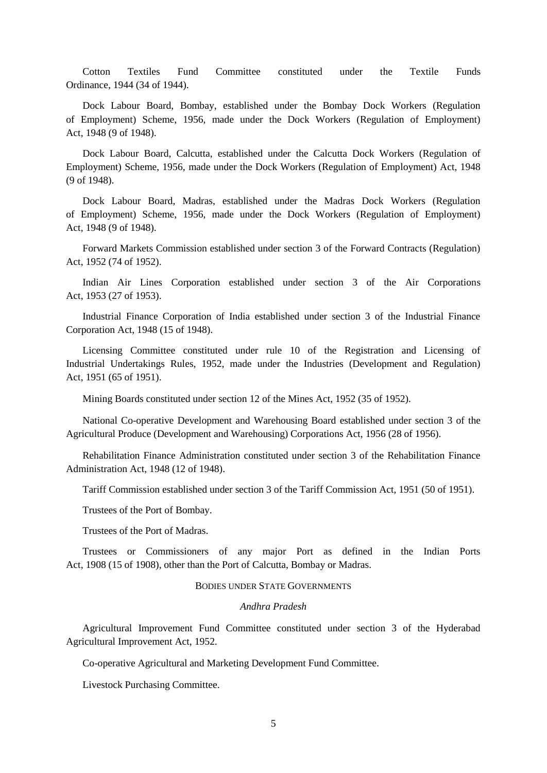Cotton Textiles Fund Committee constituted under the Textile Funds Ordinance, 1944 (34 of 1944).

Dock Labour Board, Bombay, established under the Bombay Dock Workers (Regulation of Employment) Scheme, 1956, made under the Dock Workers (Regulation of Employment) Act, 1948 (9 of 1948).

Dock Labour Board, Calcutta, established under the Calcutta Dock Workers (Regulation of Employment) Scheme, 1956, made under the Dock Workers (Regulation of Employment) Act, 1948 (9 of 1948).

Dock Labour Board, Madras, established under the Madras Dock Workers (Regulation of Employment) Scheme, 1956, made under the Dock Workers (Regulation of Employment) Act, 1948 (9 of 1948).

Forward Markets Commission established under section 3 of the Forward Contracts (Regulation) Act, 1952 (74 of 1952).

Indian Air Lines Corporation established under section 3 of the Air Corporations Act, 1953 (27 of 1953).

Industrial Finance Corporation of India established under section 3 of the Industrial Finance Corporation Act, 1948 (15 of 1948).

Licensing Committee constituted under rule 10 of the Registration and Licensing of Industrial Undertakings Rules, 1952, made under the Industries (Development and Regulation) Act, 1951 (65 of 1951).

Mining Boards constituted under section 12 of the Mines Act, 1952 (35 of 1952).

National Co-operative Development and Warehousing Board established under section 3 of the Agricultural Produce (Development and Warehousing) Corporations Act, 1956 (28 of 1956).

Rehabilitation Finance Administration constituted under section 3 of the Rehabilitation Finance Administration Act, 1948 (12 of 1948).

Tariff Commission established under section 3 of the Tariff Commission Act, 1951 (50 of 1951).

Trustees of the Port of Bombay.

Trustees of the Port of Madras.

Trustees or Commissioners of any major Port as defined in the Indian Ports Act, 1908 (15 of 1908), other than the Port of Calcutta, Bombay or Madras.

### BODIES UNDER STATE GOVERNMENTS

### *Andhra Pradesh*

Agricultural Improvement Fund Committee constituted under section 3 of the Hyderabad Agricultural Improvement Act, 1952.

Co-operative Agricultural and Marketing Development Fund Committee.

Livestock Purchasing Committee.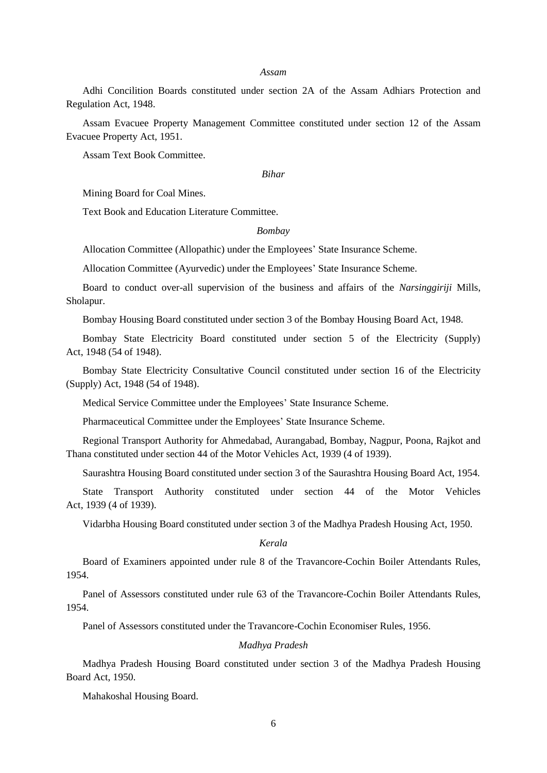#### *Assam*

Adhi Concilition Boards constituted under section 2A of the Assam Adhiars Protection and Regulation Act, 1948.

Assam Evacuee Property Management Committee constituted under section 12 of the Assam Evacuee Property Act, 1951.

Assam Text Book Committee.

#### *Bihar*

Mining Board for Coal Mines.

Text Book and Education Literature Committee.

### *Bombay*

Allocation Committee (Allopathic) under the Employees' State Insurance Scheme.

Allocation Committee (Ayurvedic) under the Employees' State Insurance Scheme.

Board to conduct over-all supervision of the business and affairs of the *Narsinggiriji* Mills, Sholapur.

Bombay Housing Board constituted under section 3 of the Bombay Housing Board Act, 1948.

Bombay State Electricity Board constituted under section 5 of the Electricity (Supply) Act, 1948 (54 of 1948).

Bombay State Electricity Consultative Council constituted under section 16 of the Electricity (Supply) Act, 1948 (54 of 1948).

Medical Service Committee under the Employees' State Insurance Scheme.

Pharmaceutical Committee under the Employees' State Insurance Scheme.

Regional Transport Authority for Ahmedabad, Aurangabad, Bombay, Nagpur, Poona, Rajkot and Thana constituted under section 44 of the Motor Vehicles Act, 1939 (4 of 1939).

Saurashtra Housing Board constituted under section 3 of the Saurashtra Housing Board Act, 1954.

State Transport Authority constituted under section 44 of the Motor Vehicles Act, 1939 (4 of 1939).

Vidarbha Housing Board constituted under section 3 of the Madhya Pradesh Housing Act, 1950.

#### *Kerala*

Board of Examiners appointed under rule 8 of the Travancore-Cochin Boiler Attendants Rules, 1954.

Panel of Assessors constituted under rule 63 of the Travancore-Cochin Boiler Attendants Rules, 1954.

Panel of Assessors constituted under the Travancore-Cochin Economiser Rules, 1956.

### *Madhya Pradesh*

Madhya Pradesh Housing Board constituted under section 3 of the Madhya Pradesh Housing Board Act, 1950.

Mahakoshal Housing Board.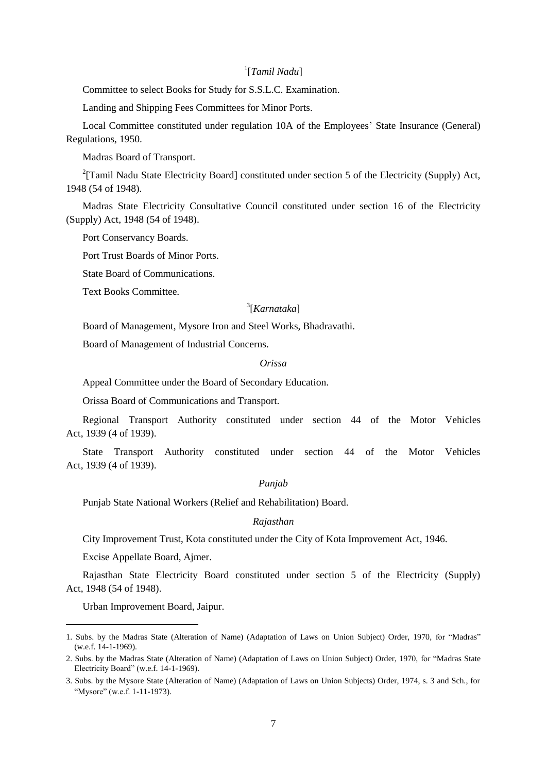## 1 [*Tamil Nadu*]

Committee to select Books for Study for S.S.L.C. Examination.

Landing and Shipping Fees Committees for Minor Ports.

Local Committee constituted under regulation 10A of the Employees' State Insurance (General) Regulations, 1950.

Madras Board of Transport.

<sup>2</sup>[Tamil Nadu State Electricity Board] constituted under section 5 of the Electricity (Supply) Act, 1948 (54 of 1948).

Madras State Electricity Consultative Council constituted under section 16 of the Electricity (Supply) Act, 1948 (54 of 1948).

Port Conservancy Boards.

Port Trust Boards of Minor Ports.

State Board of Communications.

Text Books Committee.

## 3 [*Karnataka*]

Board of Management, Mysore Iron and Steel Works, Bhadravathi.

Board of Management of Industrial Concerns.

#### *Orissa*

Appeal Committee under the Board of Secondary Education.

Orissa Board of Communications and Transport.

Regional Transport Authority constituted under section 44 of the Motor Vehicles Act, 1939 (4 of 1939).

State Transport Authority constituted under section 44 of the Motor Vehicles Act, 1939 (4 of 1939).

### *Punjab*

Punjab State National Workers (Relief and Rehabilitation) Board.

### *Rajasthan*

City Improvement Trust, Kota constituted under the City of Kota Improvement Act, 1946.

Excise Appellate Board, Ajmer.

Rajasthan State Electricity Board constituted under section 5 of the Electricity (Supply) Act, 1948 (54 of 1948).

Urban Improvement Board, Jaipur.

1

<sup>1.</sup> Subs. by the Madras State (Alteration of Name) (Adaptation of Laws on Union Subject) Order, 1970, for "Madras" (w.e.f. 14-1-1969).

<sup>2.</sup> Subs. by the Madras State (Alteration of Name) (Adaptation of Laws on Union Subject) Order, 1970, for "Madras State Electricity Board" (w.e.f. 14-1-1969).

<sup>3.</sup> Subs. by the Mysore State (Alteration of Name) (Adaptation of Laws on Union Subjects) Order, 1974, s. 3 and Sch., for "Mysore" (w.e.f. 1-11-1973).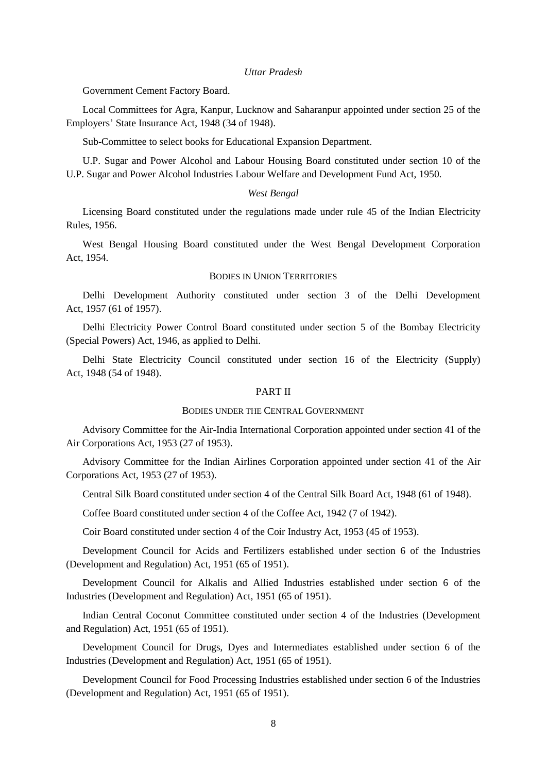#### *Uttar Pradesh*

Government Cement Factory Board.

Local Committees for Agra, Kanpur, Lucknow and Saharanpur appointed under section 25 of the Employers' State Insurance Act, 1948 (34 of 1948).

Sub-Committee to select books for Educational Expansion Department.

U.P. Sugar and Power Alcohol and Labour Housing Board constituted under section 10 of the U.P. Sugar and Power Alcohol Industries Labour Welfare and Development Fund Act, 1950.

#### *West Bengal*

Licensing Board constituted under the regulations made under rule 45 of the Indian Electricity Rules, 1956.

West Bengal Housing Board constituted under the West Bengal Development Corporation Act, 1954.

### BODIES IN UNION TERRITORIES

Delhi Development Authority constituted under section 3 of the Delhi Development Act, 1957 (61 of 1957).

Delhi Electricity Power Control Board constituted under section 5 of the Bombay Electricity (Special Powers) Act, 1946, as applied to Delhi.

Delhi State Electricity Council constituted under section 16 of the Electricity (Supply) Act, 1948 (54 of 1948).

### PART II

#### BODIES UNDER THE CENTRAL GOVERNMENT

Advisory Committee for the Air-India International Corporation appointed under section 41 of the Air Corporations Act, 1953 (27 of 1953).

Advisory Committee for the Indian Airlines Corporation appointed under section 41 of the Air Corporations Act, 1953 (27 of 1953).

Central Silk Board constituted under section 4 of the Central Silk Board Act, 1948 (61 of 1948).

Coffee Board constituted under section 4 of the Coffee Act, 1942 (7 of 1942).

Coir Board constituted under section 4 of the Coir Industry Act, 1953 (45 of 1953).

Development Council for Acids and Fertilizers established under section 6 of the Industries (Development and Regulation) Act, 1951 (65 of 1951).

Development Council for Alkalis and Allied Industries established under section 6 of the Industries (Development and Regulation) Act, 1951 (65 of 1951).

Indian Central Coconut Committee constituted under section 4 of the Industries (Development and Regulation) Act, 1951 (65 of 1951).

Development Council for Drugs, Dyes and Intermediates established under section 6 of the Industries (Development and Regulation) Act, 1951 (65 of 1951).

Development Council for Food Processing Industries established under section 6 of the Industries (Development and Regulation) Act, 1951 (65 of 1951).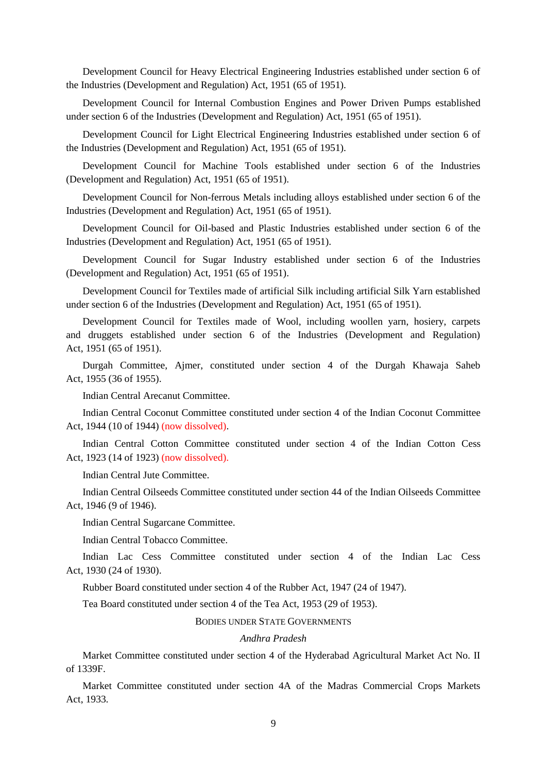Development Council for Heavy Electrical Engineering Industries established under section 6 of the Industries (Development and Regulation) Act, 1951 (65 of 1951).

Development Council for Internal Combustion Engines and Power Driven Pumps established under section 6 of the Industries (Development and Regulation) Act, 1951 (65 of 1951).

Development Council for Light Electrical Engineering Industries established under section 6 of the Industries (Development and Regulation) Act, 1951 (65 of 1951).

Development Council for Machine Tools established under section 6 of the Industries (Development and Regulation) Act, 1951 (65 of 1951).

Development Council for Non-ferrous Metals including alloys established under section 6 of the Industries (Development and Regulation) Act, 1951 (65 of 1951).

Development Council for Oil-based and Plastic Industries established under section 6 of the Industries (Development and Regulation) Act, 1951 (65 of 1951).

Development Council for Sugar Industry established under section 6 of the Industries (Development and Regulation) Act, 1951 (65 of 1951).

Development Council for Textiles made of artificial Silk including artificial Silk Yarn established under section 6 of the Industries (Development and Regulation) Act, 1951 (65 of 1951).

Development Council for Textiles made of Wool, including woollen yarn, hosiery, carpets and druggets established under section 6 of the Industries (Development and Regulation) Act, 1951 (65 of 1951).

Durgah Committee, Ajmer, constituted under section 4 of the Durgah Khawaja Saheb Act, 1955 (36 of 1955).

Indian Central Arecanut Committee.

Indian Central Coconut Committee constituted under section 4 of the Indian Coconut Committee Act, 1944 (10 of 1944) (now dissolved).

Indian Central Cotton Committee constituted under section 4 of the Indian Cotton Cess Act, 1923 (14 of 1923) (now dissolved).

Indian Central Jute Committee.

Indian Central Oilseeds Committee constituted under section 44 of the Indian Oilseeds Committee Act, 1946 (9 of 1946).

Indian Central Sugarcane Committee.

Indian Central Tobacco Committee.

Indian Lac Cess Committee constituted under section 4 of the Indian Lac Cess Act, 1930 (24 of 1930).

Rubber Board constituted under section 4 of the Rubber Act, 1947 (24 of 1947).

Tea Board constituted under section 4 of the Tea Act, 1953 (29 of 1953).

BODIES UNDER STATE GOVERNMENTS

#### *Andhra Pradesh*

Market Committee constituted under section 4 of the Hyderabad Agricultural Market Act No. II of 1339F.

Market Committee constituted under section 4A of the Madras Commercial Crops Markets Act, 1933.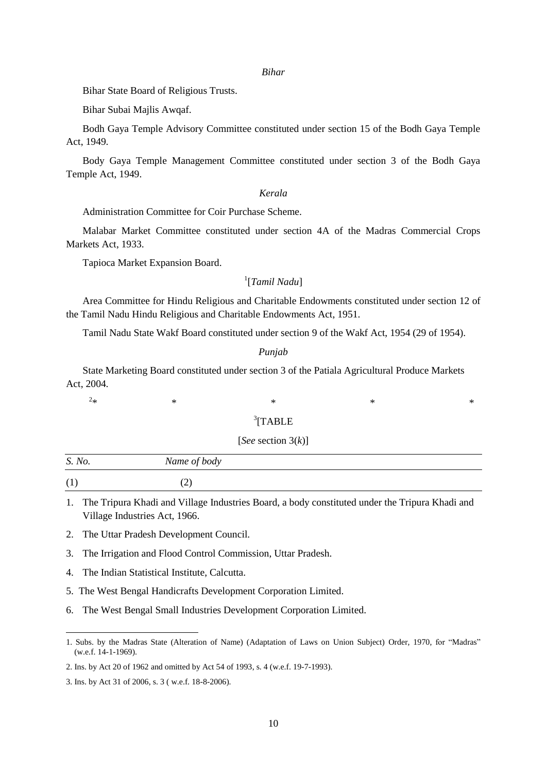#### *Bihar*

Bihar State Board of Religious Trusts.

Bihar Subai Majlis Awqaf.

Bodh Gaya Temple Advisory Committee constituted under section 15 of the Bodh Gaya Temple Act, 1949.

Body Gaya Temple Management Committee constituted under section 3 of the Bodh Gaya Temple Act, 1949.

### *Kerala*

Administration Committee for Coir Purchase Scheme.

Malabar Market Committee constituted under section 4A of the Madras Commercial Crops Markets Act, 1933.

Tapioca Market Expansion Board.

## 1 [*Tamil Nadu*]

Area Committee for Hindu Religious and Charitable Endowments constituted under section 12 of the Tamil Nadu Hindu Religious and Charitable Endowments Act, 1951.

Tamil Nadu State Wakf Board constituted under section 9 of the Wakf Act, 1954 (29 of 1954).

### *Punjab*

State Marketing Board constituted under section 3 of the Patiala Agricultural Produce Markets Act, 2004.

 $2_{\ast}$  $*$  \*  $*$  \*  $*$  \*  $*$  \*

**.** 

## <sup>3</sup>[TABLE

### [*See* section 3(*k*)]

| S. No. | Name of body |  |
|--------|--------------|--|
| (1)    | ا سم         |  |

1. The Tripura Khadi and Village Industries Board, a body constituted under the Tripura Khadi and Village Industries Act, 1966.

2. The Uttar Pradesh Development Council.

3. The Irrigation and Flood Control Commission, Uttar Pradesh.

4. The Indian Statistical Institute, Calcutta.

5. The West Bengal Handicrafts Development Corporation Limited.

6. The West Bengal Small Industries Development Corporation Limited.

<sup>1.</sup> Subs. by the Madras State (Alteration of Name) (Adaptation of Laws on Union Subject) Order, 1970, for "Madras" (w.e.f. 14-1-1969).

<sup>2.</sup> Ins. by Act 20 of 1962 and omitted by Act 54 of 1993, s. 4 (w.e.f. 19-7-1993).

<sup>3.</sup> Ins. by Act 31 of 2006, s. 3 ( w.e.f. 18-8-2006).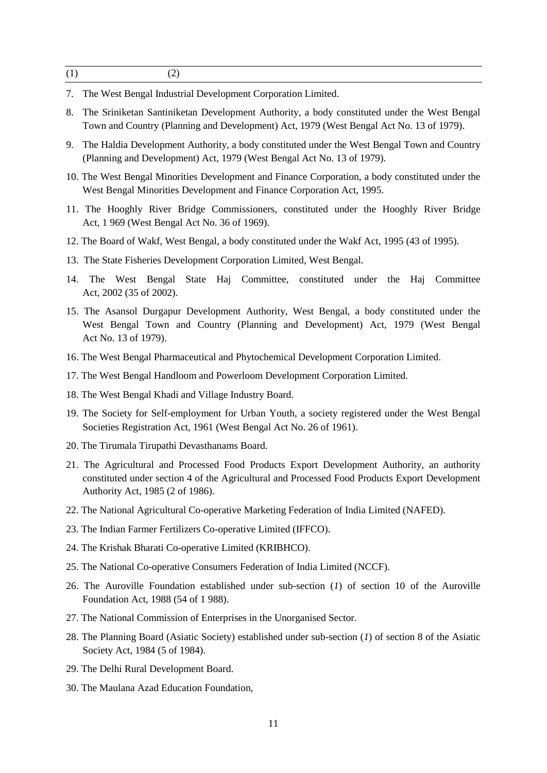- 7. The West Bengal Industrial Development Corporation Limited.
- 8. The Sriniketan Santiniketan Development Authority, a body constituted under the West Bengal Town and Country (Planning and Development) Act, 1979 (West Bengal Act No. 13 of 1979).
- 9. The Haldia Development Authority, a body constituted under the West Bengal Town and Country (Planning and Development) Act, 1979 (West Bengal Act No. 13 of 1979).
- 10. The West Bengal Minorities Development and Finance Corporation, a body constituted under the West Bengal Minorities Development and Finance Corporation Act, 1995.
- 11. The Hooghly River Bridge Commissioners, constituted under the Hooghly River Bridge Act, 1 969 (West Bengal Act No. 36 of 1969).
- 12. The Board of Wakf, West Bengal, a body constituted under the Wakf Act, 1995 (43 of 1995).
- 13. The State Fisheries Development Corporation Limited, West Bengal.
- 14. The West Bengal State Haj Committee, constituted under the Haj Committee Act, 2002 (35 of 2002).
- 15. The Asansol Durgapur Development Authority, West Bengal, a body constituted under the West Bengal Town and Country (Planning and Development) Act, 1979 (West Bengal Act No. 13 of 1979).
- 16. The West Bengal Pharmaceutical and Phytochemical Development Corporation Limited.
- 17. The West Bengal Handloom and Powerloom Development Corporation Limited.
- 18. The West Bengal Khadi and Village Industry Board.
- 19. The Society for Self-employment for Urban Youth, a society registered under the West Bengal Societies Registration Act, 1961 (West Bengal Act No. 26 of 1961).
- 20. The Tirumala Tirupathi Devasthanams Board.
- 21. The Agricultural and Processed Food Products Export Development Authority, an authority constituted under section 4 of the Agricultural and Processed Food Products Export Development Authority Act, 1985 (2 of 1986).
- 22. The National Agricultural Co-operative Marketing Federation of India Limited (NAFED).
- 23. The Indian Farmer Fertilizers Co-operative Limited (IFFCO).
- 24. The Krishak Bharati Co-operative Limited (KRIBHCO).
- 25. The National Co-operative Consumers Federation of India Limited (NCCF).
- 26. The Auroville Foundation established under sub-section (*1*) of section 10 of the Auroville Foundation Act, 1988 (54 of 1 988).
- 27. The National Commission of Enterprises in the Unorganised Sector.
- 28. The Planning Board (Asiatic Society) established under sub-section (*1*) of section 8 of the Asiatic Society Act, 1984 (5 of 1984).
- 29. The Delhi Rural Development Board.
- 30. The Maulana Azad Education Foundation,